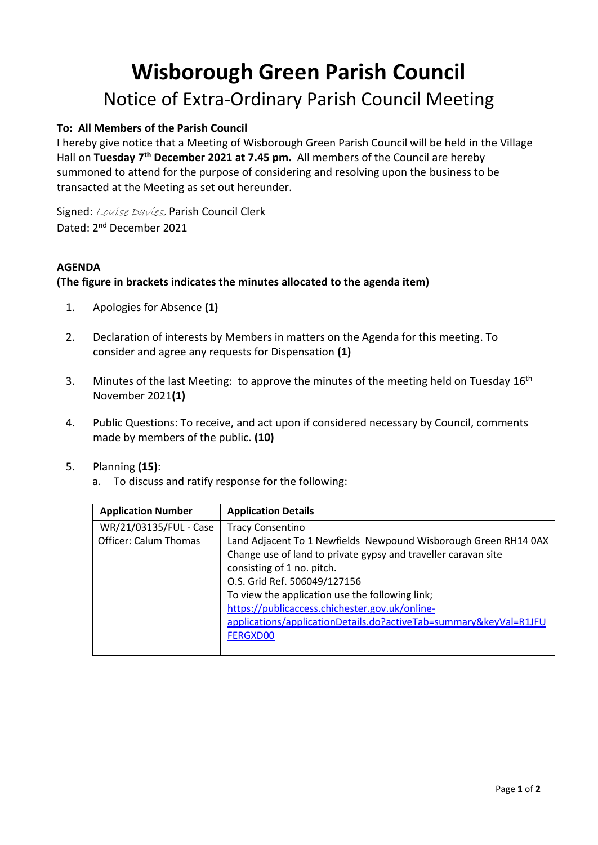## **Wisborough Green Parish Council** Notice of Extra-Ordinary Parish Council Meeting

## **To: All Members of the Parish Council**

I hereby give notice that a Meeting of Wisborough Green Parish Council will be held in the Village Hall on Tuesday 7<sup>th</sup> December 2021 at 7.45 pm. All members of the Council are hereby summoned to attend for the purpose of considering and resolving upon the business to be transacted at the Meeting as set out hereunder.

Signed: Louise Davies, Parish Council Clerk Dated: 2<sup>nd</sup> December 2021

## **AGENDA**

## **(The figure in brackets indicates the minutes allocated to the agenda item)**

- 1. Apologies for Absence **(1)**
- 2. Declaration of interests by Members in matters on the Agenda for this meeting. To consider and agree any requests for Dispensation **(1)**
- 3. Minutes of the last Meeting: to approve the minutes of the meeting held on Tuesday 16<sup>th</sup> November 2021**(1)**
- 4. Public Questions: To receive, and act upon if considered necessary by Council, comments made by members of the public. **(10)**
- 5. Planning **(15)**:
	- a. To discuss and ratify response for the following:

| <b>Application Number</b>    | <b>Application Details</b>                                        |
|------------------------------|-------------------------------------------------------------------|
| WR/21/03135/FUL - Case       | <b>Tracy Consentino</b>                                           |
| <b>Officer: Calum Thomas</b> | Land Adjacent To 1 Newfields Newpound Wisborough Green RH14 0AX   |
|                              | Change use of land to private gypsy and traveller caravan site    |
|                              | consisting of 1 no. pitch.                                        |
|                              | O.S. Grid Ref. 506049/127156                                      |
|                              | To view the application use the following link;                   |
|                              | https://publicaccess.chichester.gov.uk/online-                    |
|                              | applications/applicationDetails.do?activeTab=summary&keyVal=R1JFU |
|                              | <b>FERGXD00</b>                                                   |
|                              |                                                                   |